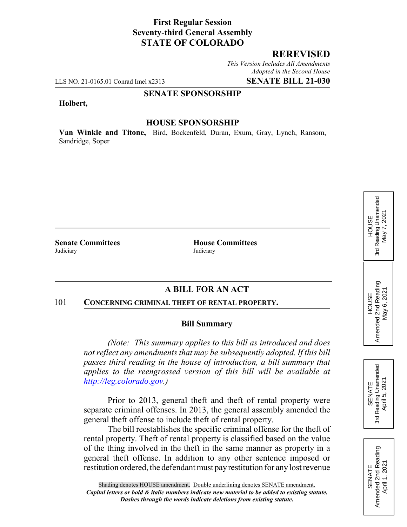# **First Regular Session Seventy-third General Assembly STATE OF COLORADO**

## **REREVISED**

*This Version Includes All Amendments Adopted in the Second House*

LLS NO. 21-0165.01 Conrad Imel x2313 **SENATE BILL 21-030**

### **SENATE SPONSORSHIP**

#### **Holbert,**

## **HOUSE SPONSORSHIP**

**Van Winkle and Titone,** Bird, Bockenfeld, Duran, Exum, Gray, Lynch, Ransom, Sandridge, Soper

Judiciary Judiciary

**Senate Committees House Committees** 

## **A BILL FOR AN ACT**

#### 101 **CONCERNING CRIMINAL THEFT OF RENTAL PROPERTY.**

#### **Bill Summary**

*(Note: This summary applies to this bill as introduced and does not reflect any amendments that may be subsequently adopted. If this bill passes third reading in the house of introduction, a bill summary that applies to the reengrossed version of this bill will be available at http://leg.colorado.gov.)*

Prior to 2013, general theft and theft of rental property were separate criminal offenses. In 2013, the general assembly amended the general theft offense to include theft of rental property.

The bill reestablishes the specific criminal offense for the theft of rental property. Theft of rental property is classified based on the value of the thing involved in the theft in the same manner as property in a general theft offense. In addition to any other sentence imposed or restitution ordered, the defendant must pay restitution for any lost revenue

# 3rd Reading Unamended 3rd Reading Unamended May 7, 2021 May 7, 2021 **HOUSE**

HOUSE<br>Amended 2nd Reading<br>May 6, 2021 Amended 2nd Reading May 6, 2021